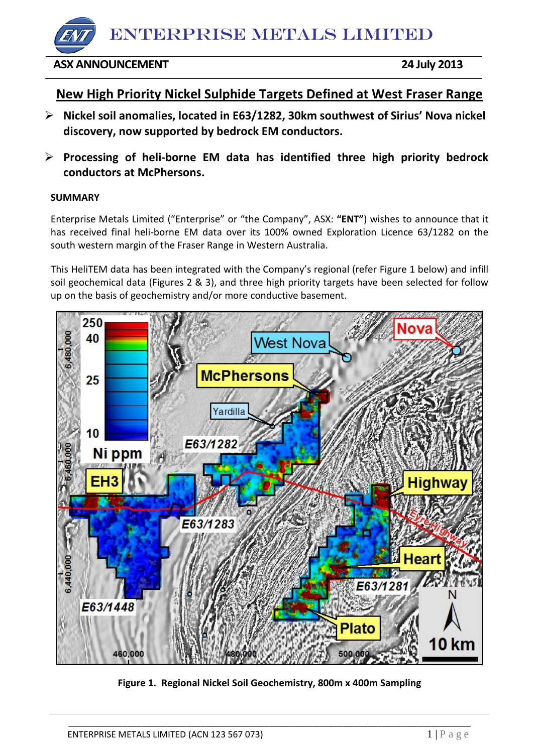ENTERPRISE METALS LIMITED

**ASX ANNOUNCEMENT 24 July 2013** 

# **New High Priority Nickel Sulphide Targets Defined at West Fraser Range**

- **Nickel soil anomalies, located in E63/1282, 30km southwest of Sirius' Nova nickel discovery, now supported by bedrock EM conductors.**
- **Processing of heli-borne EM data has identified three high priority bedrock conductors at McPhersons.**

# **SUMMARY**

Enterprise Metals Limited ("Enterprise" or "the Company", ASX: **"ENT"**) wishes to announce that it has received final heli-borne EM data over its 100% owned Exploration Licence 63/1282 on the south western margin of the Fraser Range in Western Australia.

This HeliTEM data has been integrated with the Company's regional (refer Figure 1 below) and infill soil geochemical data (Figures 2 & 3), and three high priority targets have been selected for follow up on the basis of geochemistry and/or more conductive basement.



**Figure 1. Regional Nickel Soil Geochemistry, 800m x 400m Sampling**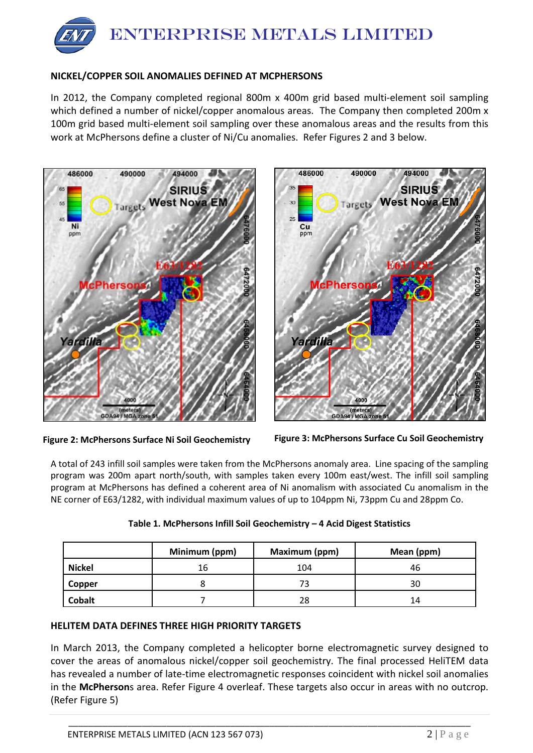

### **NICKEL/COPPER SOIL ANOMALIES DEFINED AT MCPHERSONS**

In 2012, the Company completed regional 800m x 400m grid based multi-element soil sampling which defined a number of nickel/copper anomalous areas. The Company then completed 200m x 100m grid based multi-element soil sampling over these anomalous areas and the results from this work at McPhersons define a cluster of Ni/Cu anomalies. Refer Figures 2 and 3 below.



**Figure 2: McPhersons Surface Ni Soil Geochemistry Figure 3: McPhersons Surface Cu Soil Geochemistry**

A total of 243 infill soil samples were taken from the McPhersons anomaly area. Line spacing of the sampling program was 200m apart north/south, with samples taken every 100m east/west. The infill soil sampling program at McPhersons has defined a coherent area of Ni anomalism with associated Cu anomalism in the NE corner of E63/1282, with individual maximum values of up to 104ppm Ni, 73ppm Cu and 28ppm Co.

|               | Minimum (ppm) | Maximum (ppm) | Mean (ppm) |
|---------------|---------------|---------------|------------|
| <b>Nickel</b> | 16            | 104           | 46         |
| Copper        |               |               | 30         |
| <b>Cobalt</b> |               | 28            | 14         |

| Table 1. McPhersons Infill Soil Geochemistry - 4 Acid Digest Statistics |  |
|-------------------------------------------------------------------------|--|
|-------------------------------------------------------------------------|--|

#### **HELITEM DATA DEFINES THREE HIGH PRIORITY TARGETS**

In March 2013, the Company completed a helicopter borne electromagnetic survey designed to cover the areas of anomalous nickel/copper soil geochemistry. The final processed HeliTEM data has revealed a number of late-time electromagnetic responses coincident with nickel soil anomalies in the **McPherson**s area. Refer Figure 4 overleaf. These targets also occur in areas with no outcrop. (Refer Figure 5)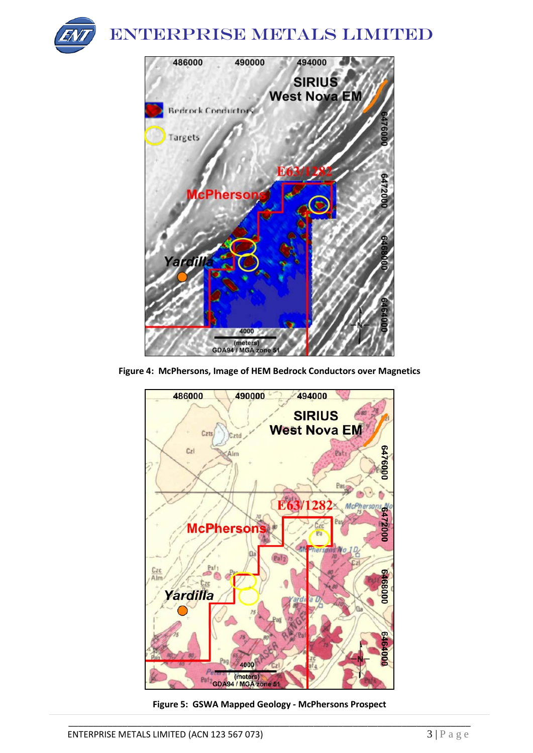

# ENTERPRISE METALS LIMITED



**Figure 4: McPhersons, Image of HEM Bedrock Conductors over Magnetics**



**Figure 5: GSWA Mapped Geology - McPhersons Prospect**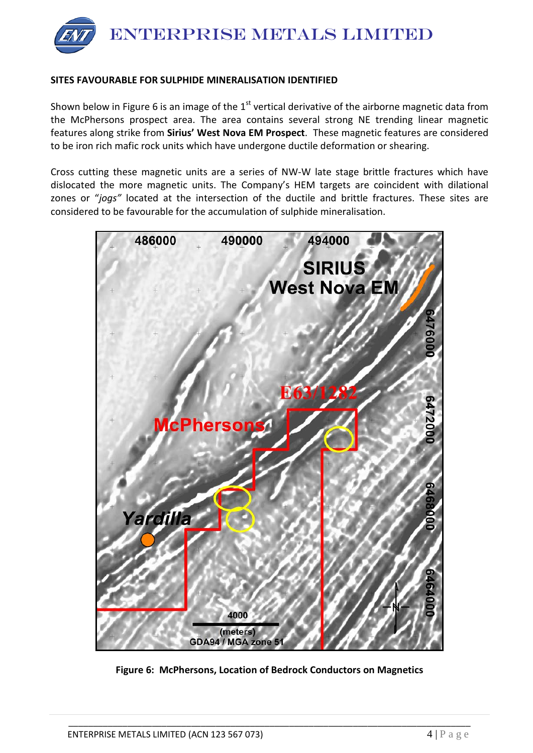

## **SITES FAVOURABLE FOR SULPHIDE MINERALISATION IDENTIFIED**

Shown below in Figure 6 is an image of the  $1<sup>st</sup>$  vertical derivative of the airborne magnetic data from the McPhersons prospect area. The area contains several strong NE trending linear magnetic features along strike from **Sirius' West Nova EM Prospect**. These magnetic features are considered to be iron rich mafic rock units which have undergone ductile deformation or shearing.

Cross cutting these magnetic units are a series of NW-W late stage brittle fractures which have dislocated the more magnetic units. The Company's HEM targets are coincident with dilational zones or "*jogs"* located at the intersection of the ductile and brittle fractures. These sites are considered to be favourable for the accumulation of sulphide mineralisation.



**Figure 6: McPhersons, Location of Bedrock Conductors on Magnetics**